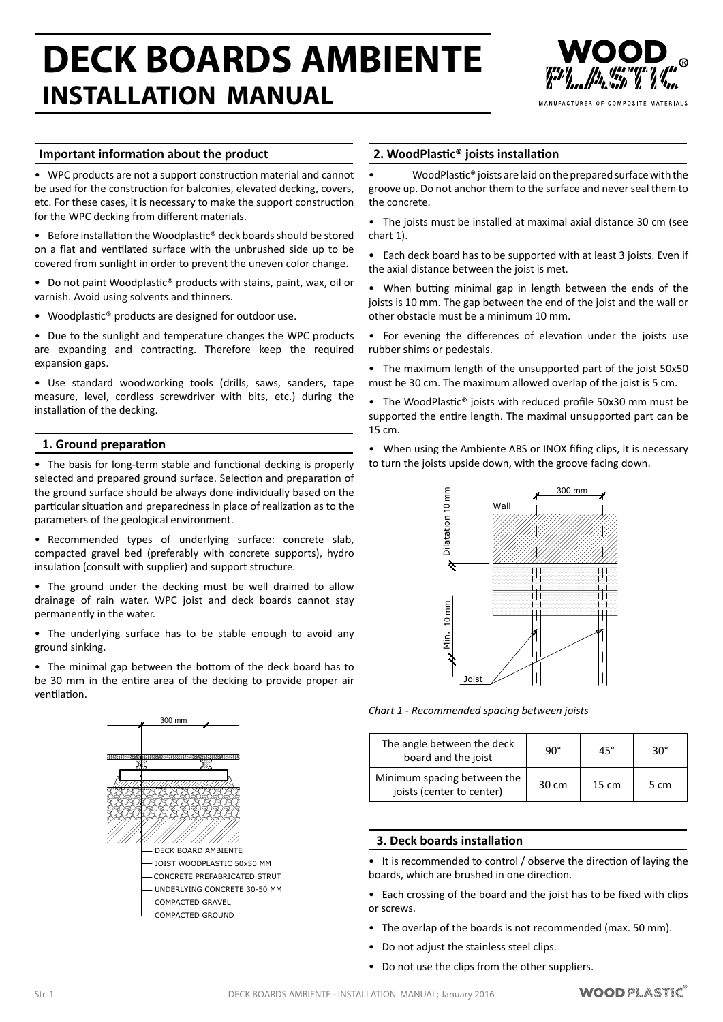# **DECK BOARDS AMBIENTE INSTALLATION MANUAL**



MANUFACTURER OF COMPOSITE MATERIALS

## **Important information about the product**

• WPC products are not a support construction material and cannot be used for the construction for balconies, elevated decking, covers, etc. For these cases, it is necessary to make the support construction for the WPC decking from different materials.

• Before installation the Woodplastic<sup>®</sup> deck boards should be stored on a flat and ventilated surface with the unbrushed side up to be covered from sunlight in order to prevent the uneven color change.

• Do not paint Woodplastic® products with stains, paint, wax, oil or varnish. Avoid using solvents and thinners.

Woodplastic<sup>®</sup> products are designed for outdoor use.

• Due to the sunlight and temperature changes the WPC products are expanding and contracting. Therefore keep the required expansion gaps.

• Use standard woodworking tools (drills, saws, sanders, tape measure, level, cordless screwdriver with bits, etc.) during the installation of the decking.

### **1. Ground preparation**

• The basis for long-term stable and functional decking is properly selected and prepared ground surface. Selection and preparation of the ground surface should be always done individually based on the particular situation and preparedness in place of realization as to the parameters of the geological environment.

• Recommended types of underlying surface: concrete slab, compacted gravel bed (preferably with concrete supports), hydro insulation (consult with supplier) and support structure.

• The ground under the decking must be well drained to allow drainage of rain water. WPC joist and deck boards cannot stay permanently in the water.

• The underlying surface has to be stable enough to avoid any ground sinking.

The minimal gap between the bottom of the deck board has to be 30 mm in the entire area of the decking to provide proper air ventilation.



### **2. WoodPlastic® joists installation**

WoodPlastic® joists are laid on the prepared surface with the groove up. Do not anchor them to the surface and neverseal them to the concrete.

• The joists must be installed at maximal axial distance 30 cm (see chart 1).

• Each deck board has to be supported with at least 3 joists. Even if the axial distance between the joist is met.

• When butting minimal gap in length between the ends of the joists is 10 mm. The gap between the end of the joist and the wall or other obstacle must be a minimum 10 mm.

- For evening the differences of elevation under the joists use rubber shims or pedestals.
- The maximum length of the unsupported part of the joist 50x50 must be 30 cm. The maximum allowed overlap of the joist is 5 cm.
- The WoodPlastic® joists with reduced profile 50x30 mm must be supported the entire length. The maximal unsupported part can be 15 cm.
- When using the Ambiente ABS or INOX fifing clips, it is necessary to turn the joists upside down, with the groove facing down.



*Chart 1 - Recommended spacing between joists*

| The angle between the deck<br>board and the joist        | 90°   | 45°             | $30^\circ$ |
|----------------------------------------------------------|-------|-----------------|------------|
| Minimum spacing between the<br>joists (center to center) | 30 cm | $15 \text{ cm}$ | 5 cm       |

### **3. Deck boards installation**

• It is recommended to control / observe the direction of laying the boards, which are brushed in one direction.

- Each crossing of the board and the joist has to be fixed with clips or screws.
- The overlap of the boards is not recommended (max. 50 mm).
- Do not adjust the stainless steel clips.
- Do not use the clips from the other suppliers.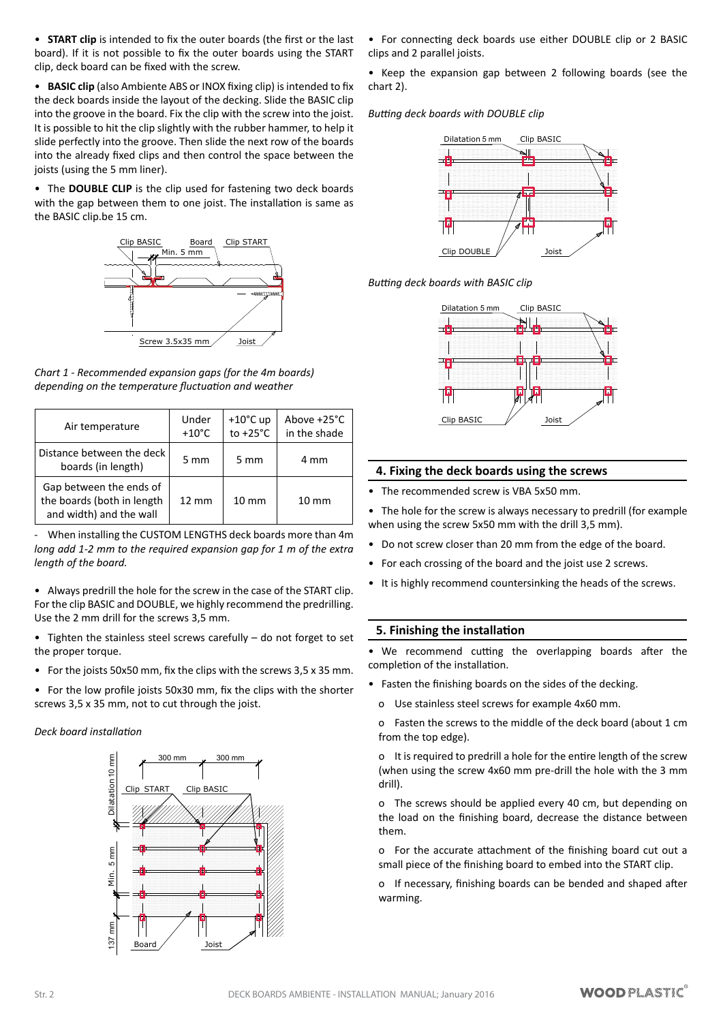• **START clip** is intended to fix the outer boards (the first or the last board). If it is not possible to fix the outer boards using the START clip, deck board can be fixed with the screw.

• **BASIC clip** (also Ambiente ABS or INOX fixing clip) is intended to fix the deck boards inside the layout of the decking. Slide the BASIC clip into the groove in the board. Fix the clip with the screw into the joist. It is possible to hit the clip slightly with the rubber hammer, to help it slide perfectly into the groove. Then slide the next row of the boards into the already fixed clips and then control the space between the joists (using the 5 mm liner).

• The **DOUBLE CLIP** is the clip used for fastening two deck boards with the gap between them to one joist. The installation is same as the BASIC clip.be 15 cm.



*Chart 1 - Recommended expansion gaps (for the 4m boards) depending on the temperature fluctuation and weather*

| Air temperature                                                                  | Under<br>$+10^{\circ}$ C | $+10^{\circ}$ C up<br>to $+25^{\circ}$ C | Above +25°C<br>in the shade |
|----------------------------------------------------------------------------------|--------------------------|------------------------------------------|-----------------------------|
| Distance between the deck<br>boards (in length)                                  | $5 \text{ mm}$           | 5 mm                                     | 4 mm                        |
| Gap between the ends of<br>the boards (both in length<br>and width) and the wall | $12 \text{ mm}$          | $10 \text{ mm}$                          | $10 \text{ mm}$             |

- When installing the CUSTOM LENGTHS deck boards more than 4m *long add 1-2 mm to the required expansion gap for 1 m of the extra length of the board.*

• Always predrill the hole for the screw in the case of the START clip. For the clip BASIC and DOUBLE, we highly recommend the predrilling. Use the 2 mm drill for the screws 3,5 mm.

• Tighten the stainless steel screws carefully – do not forget to set the proper torque.

- For the joists 50x50 mm, fix the clips with the screws 3,5 x 35 mm.
- For the low profile joists 50x30 mm, fix the clips with the shorter screws 3,5 x 35 mm, not to cut through the joist.

### *Deck board installation*



• For connecting deck boards use either DOUBLE clip or 2 BASIC clips and 2 parallel joists.

• Keep the expansion gap between 2 following boards (see the chart 2).

*Butting deck boards with DOUBLE clip*



*Butting deck boards with BASIC clip*



### **4. Fixing the deck boards using the screws**

• The recommended screw is VBA 5x50 mm.

The hole for the screw is always necessary to predrill (for example when using the screw 5x50 mm with the drill 3,5 mm).

- Do not screw closer than 20 mm from the edge of the board.
- For each crossing of the board and the joist use 2 screws.
- It is highly recommend countersinking the heads of the screws.

### **5. Finishing the installation**

• We recommend cutting the overlapping boards after the completion of the installation.

• Fasten the finishing boards on the sides of the decking.

o Use stainless steel screws for example 4x60 mm.

o Fasten the screws to the middle of the deck board (about 1 cm from the top edge).

o It is required to predrill a hole for the entire length of the screw (when using the screw 4x60 mm pre-drill the hole with the 3 mm drill).

o The screws should be applied every 40 cm, but depending on the load on the finishing board, decrease the distance between them.

o For the accurate attachment of the finishing board cut out a small piece of the finishing board to embed into the START clip.

o If necessary, finishing boards can be bended and shaped after warming.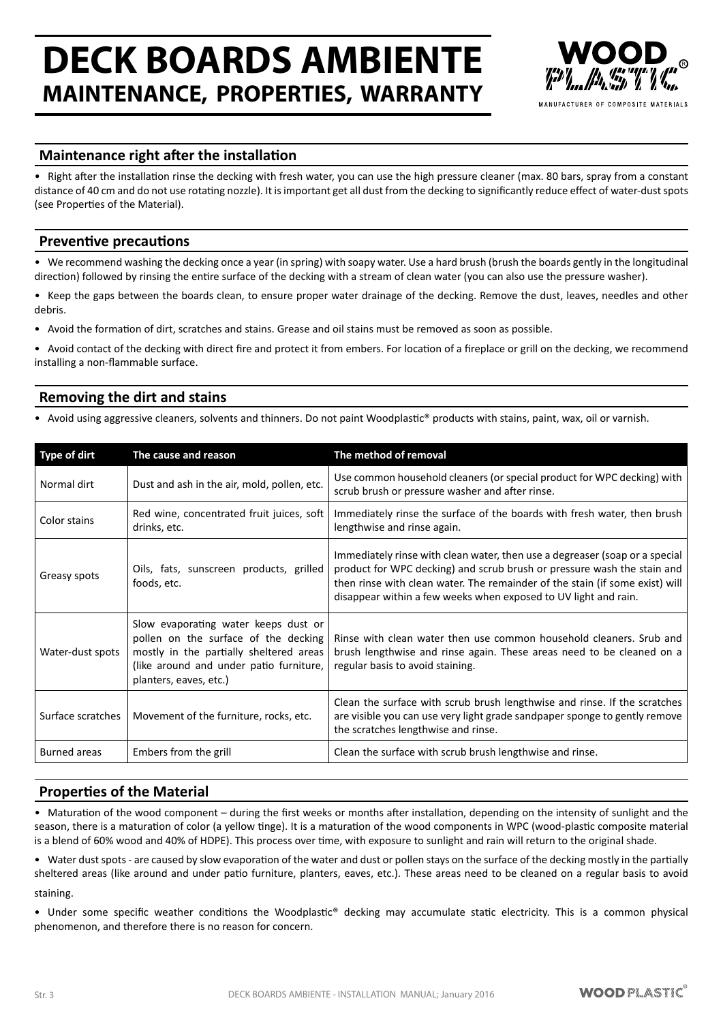## **DECK BOARDS AMBIENTE MAINTENANCE, PROPERTIES, WARRANTY**



## **Maintenance right after the installation**

Right after the installation rinse the decking with fresh water, you can use the high pressure cleaner (max. 80 bars, spray from a constant distance of 40 cm and do not use rotating nozzle). It is important get all dust from the decking to significantly reduce effect of water-dust spots (see Properties of the Material).

## **Preventive precautions**

• We recommend washing the decking once a year (in spring) with soapy water. Use a hard brush (brush the boards gently in the longitudinal direction) followed by rinsing the entire surface of the decking with a stream of clean water (you can also use the pressure washer).

• Keep the gaps between the boards clean, to ensure proper water drainage of the decking. Remove the dust, leaves, needles and other debris.

• Avoid the formation of dirt, scratches and stains. Grease and oil stains must be removed as soon as possible.

• Avoid contact of the decking with direct fire and protect it from embers. For location of a fireplace or grill on the decking, we recommend installing a non-flammable surface.

## **Removing the dirt and stains**

• Avoid using aggressive cleaners, solvents and thinners. Do not paint Woodplastic® products with stains, paint, wax, oil or varnish.

| <b>Type of dirt</b> | The cause and reason                                                                                                                                                                         | The method of removal                                                                                                                                                                                                                                                                                     |
|---------------------|----------------------------------------------------------------------------------------------------------------------------------------------------------------------------------------------|-----------------------------------------------------------------------------------------------------------------------------------------------------------------------------------------------------------------------------------------------------------------------------------------------------------|
| Normal dirt         | Dust and ash in the air, mold, pollen, etc.                                                                                                                                                  | Use common household cleaners (or special product for WPC decking) with<br>scrub brush or pressure washer and after rinse.                                                                                                                                                                                |
| Color stains        | Red wine, concentrated fruit juices, soft<br>drinks, etc.                                                                                                                                    | Immediately rinse the surface of the boards with fresh water, then brush<br>lengthwise and rinse again.                                                                                                                                                                                                   |
| Greasy spots        | Oils, fats, sunscreen products, grilled<br>foods, etc.                                                                                                                                       | Immediately rinse with clean water, then use a degreaser (soap or a special<br>product for WPC decking) and scrub brush or pressure wash the stain and<br>then rinse with clean water. The remainder of the stain (if some exist) will<br>disappear within a few weeks when exposed to UV light and rain. |
| Water-dust spots    | Slow evaporating water keeps dust or<br>pollen on the surface of the decking<br>mostly in the partially sheltered areas<br>(like around and under patio furniture,<br>planters, eaves, etc.) | Rinse with clean water then use common household cleaners. Srub and<br>brush lengthwise and rinse again. These areas need to be cleaned on a<br>regular basis to avoid staining.                                                                                                                          |
| Surface scratches   | Movement of the furniture, rocks, etc.                                                                                                                                                       | Clean the surface with scrub brush lengthwise and rinse. If the scratches<br>are visible you can use very light grade sandpaper sponge to gently remove<br>the scratches lengthwise and rinse.                                                                                                            |
| Burned areas        | Embers from the grill                                                                                                                                                                        | Clean the surface with scrub brush lengthwise and rinse.                                                                                                                                                                                                                                                  |

## **Properties of the Material**

• Maturation of the wood component – during the first weeks or months after installation, depending on the intensity of sunlight and the season, there is a maturation of color (a yellow tinge). It is a maturation of the wood components in WPC (wood-plastic composite material is a blend of 60% wood and 40% of HDPE). This process over time, with exposure to sunlight and rain will return to the original shade.

• Water dust spots - are caused by slow evaporation of the water and dust or pollen stays on the surface of the decking mostly in the partially sheltered areas (like around and under patio furniture, planters, eaves, etc.). These areas need to be cleaned on a regular basis to avoid

staining.

• Under some specific weather conditions the Woodplastic® decking may accumulate static electricity. This is a common physical phenomenon, and therefore there is no reason for concern.